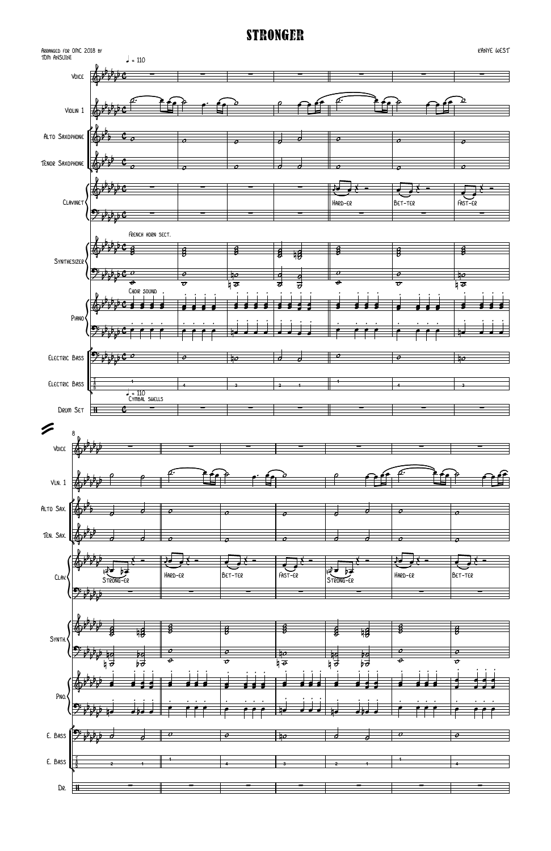## **STRONGER**

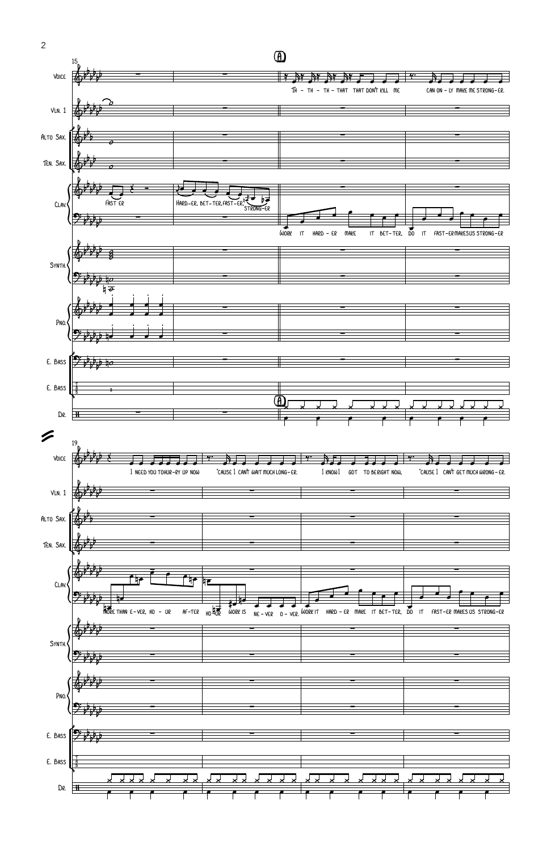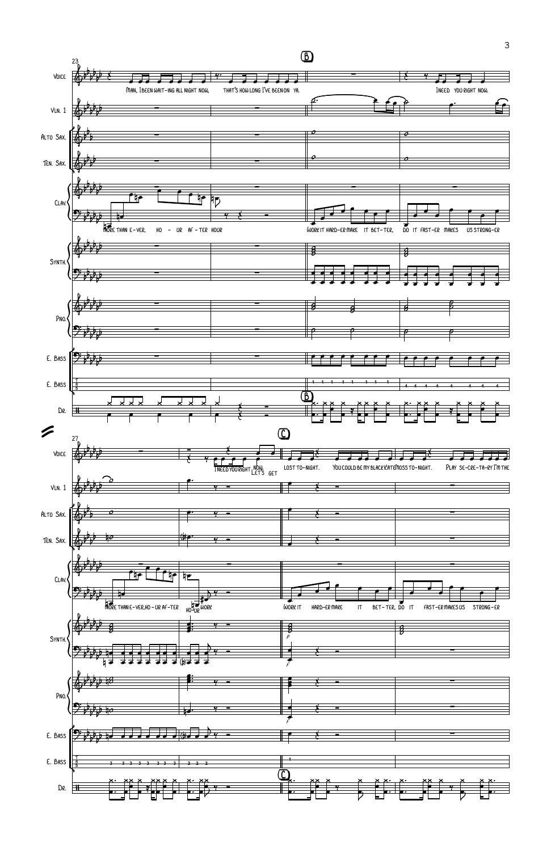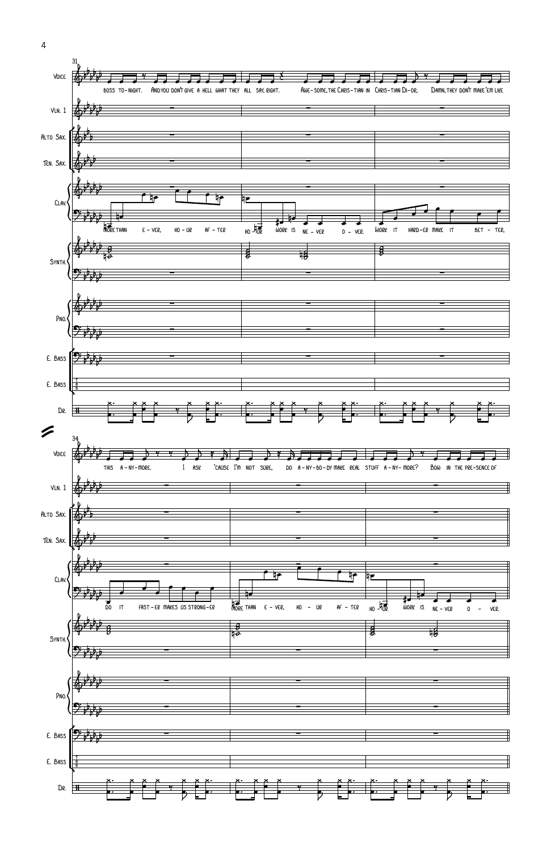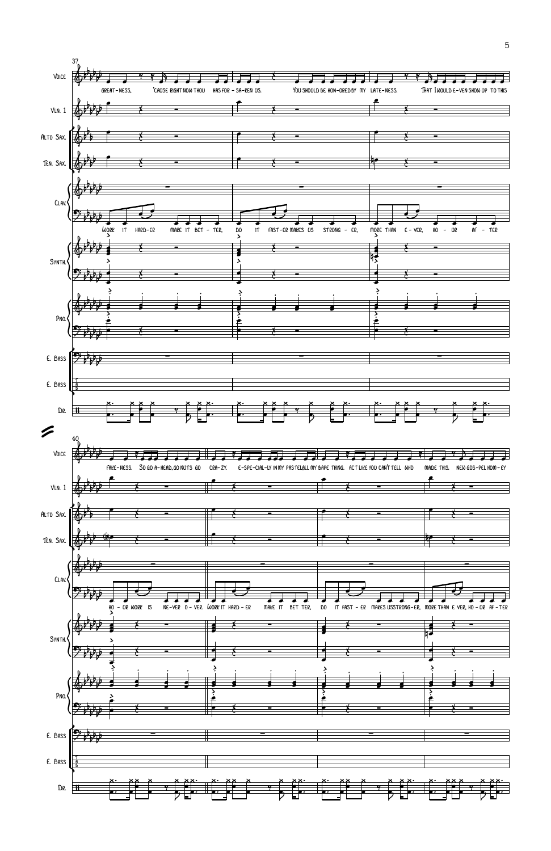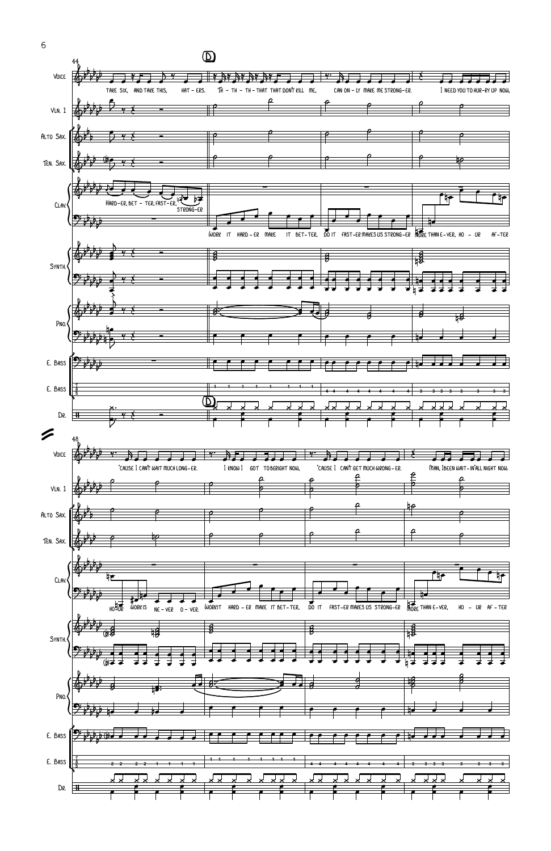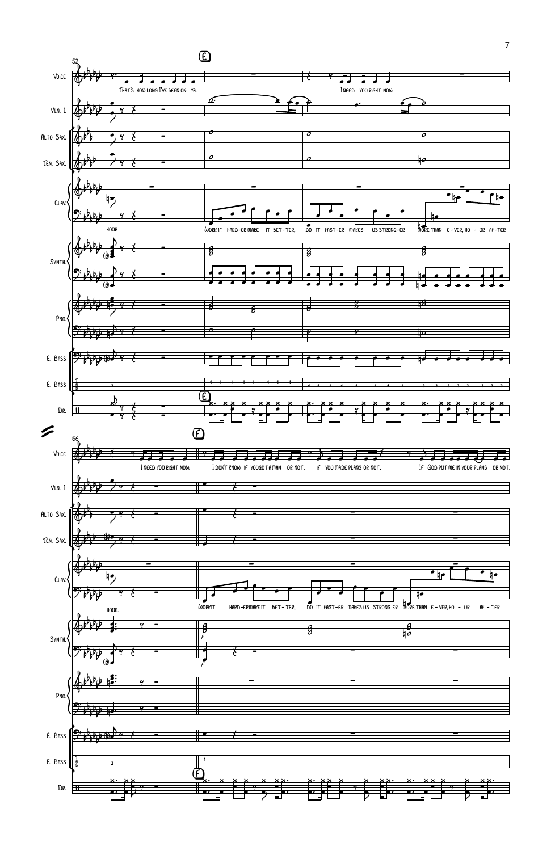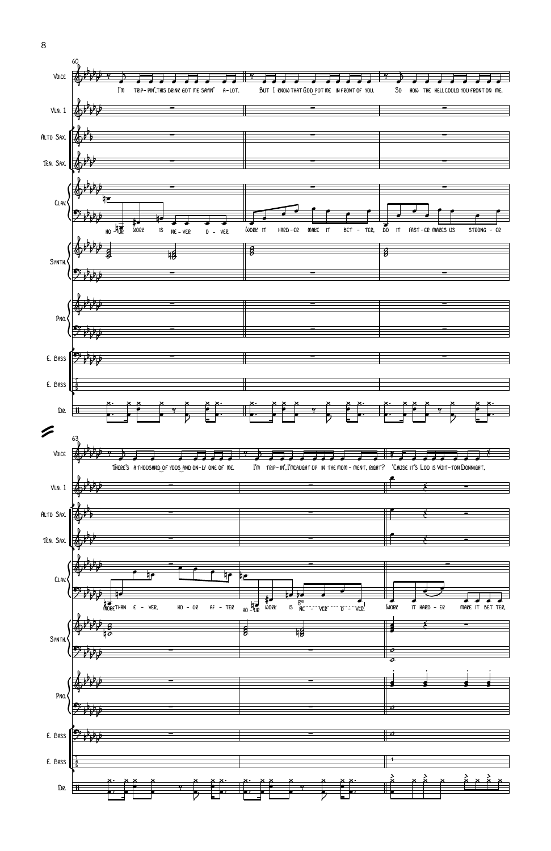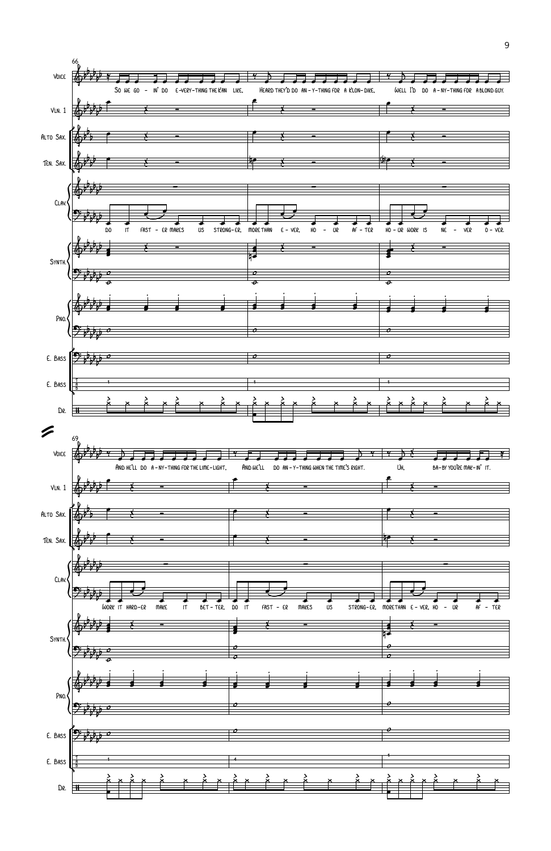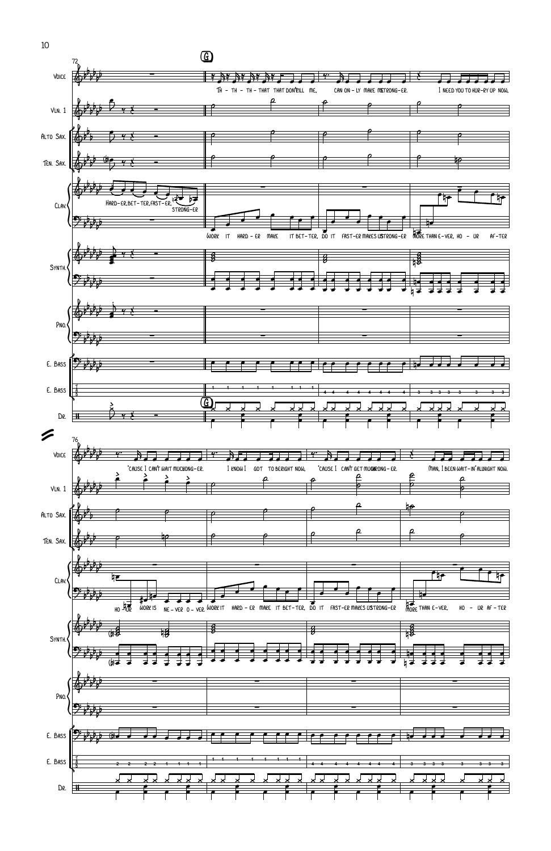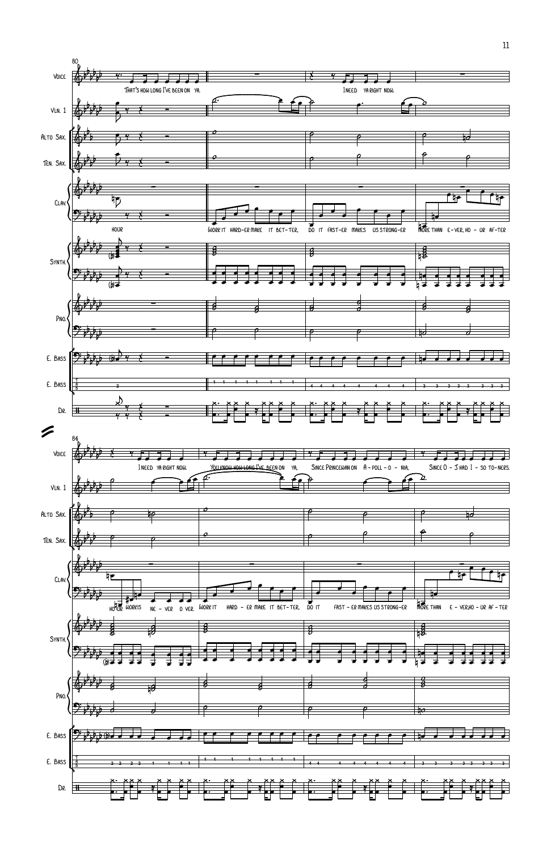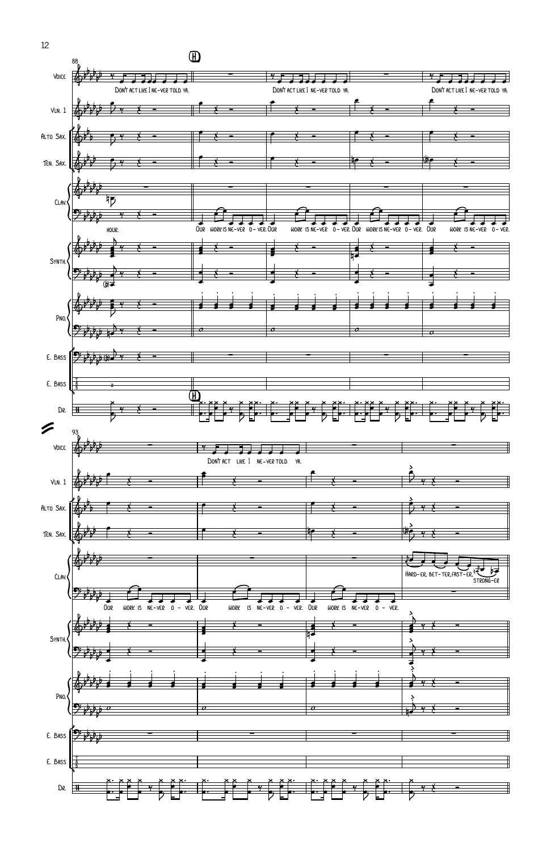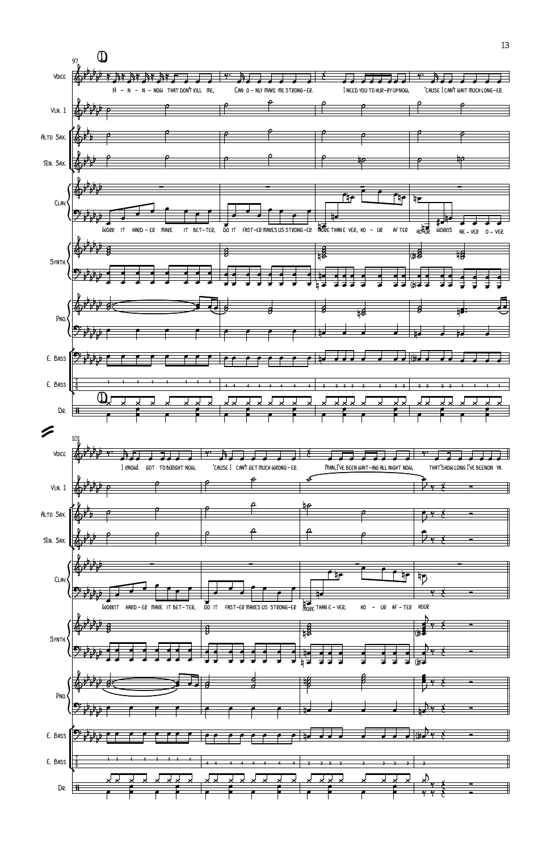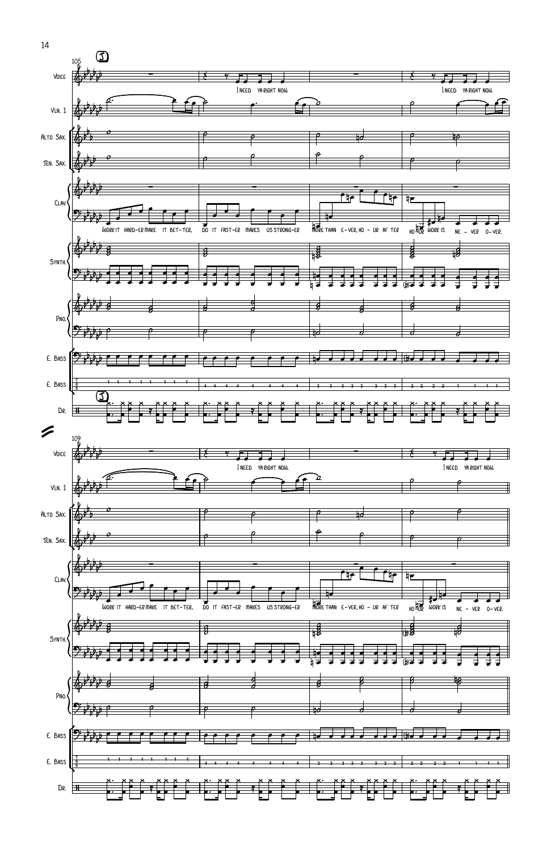